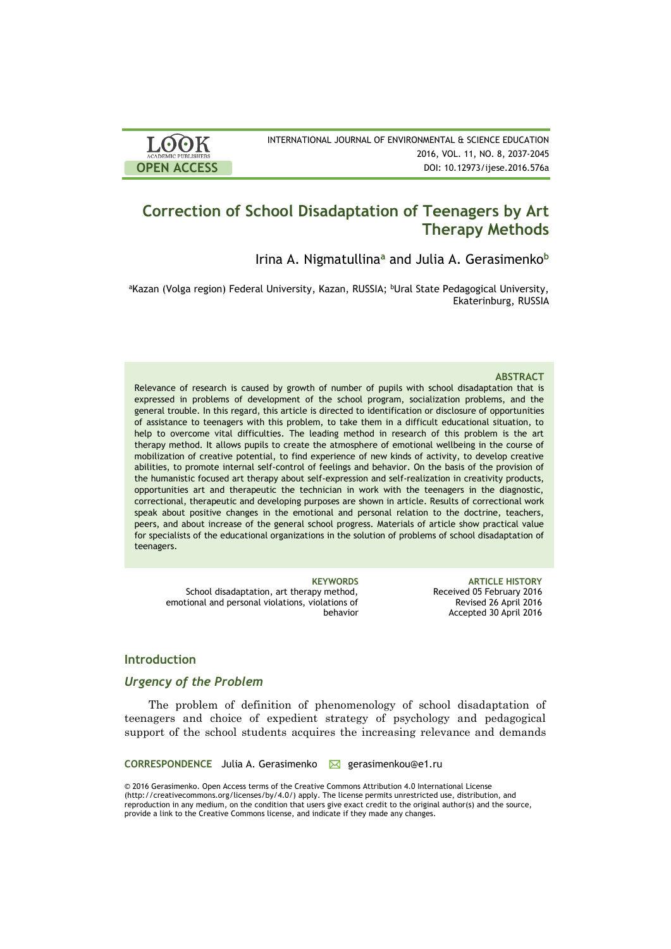| LOOK<br><b>ACADEMIC PUBLISHERS</b> | INTERNATIONAL JOURNAL |
|------------------------------------|-----------------------|
| <b>OPEN ACCESS</b>                 |                       |

# **Correction of School Disadaptation of Teenagers by Art Therapy Methods**

Irina A. Nigmatullina**<sup>a</sup>** and Julia A. Gerasimenko**<sup>b</sup>**

<sup>a</sup>Kazan (Volga region) Federal University, Kazan, RUSSIA; <sup>b</sup>Ural State Pedagogical University, Ekaterinburg, RUSSIA

#### **ABSTRACT**

Relevance of research is caused by growth of number of pupils with school disadaptation that is expressed in problems of development of the school program, socialization problems, and the general trouble. In this regard, this article is directed to identification or disclosure of opportunities of assistance to teenagers with this problem, to take them in a difficult educational situation, to help to overcome vital difficulties. The leading method in research of this problem is the art therapy method. It allows pupils to create the atmosphere of emotional wellbeing in the course of mobilization of creative potential, to find experience of new kinds of activity, to develop creative abilities, to promote internal self-control of feelings and behavior. On the basis of the provision of the humanistic focused art therapy about self-expression and self-realization in creativity products, opportunities art and therapeutic the technician in work with the teenagers in the diagnostic, correctional, therapeutic and developing purposes are shown in article. Results of correctional work speak about positive changes in the emotional and personal relation to the doctrine, teachers, peers, and about increase of the general school progress. Materials of article show practical value for specialists of the educational organizations in the solution of problems of school disadaptation of teenagers.

School disadaptation, art therapy method, emotional and personal violations, violations of behavior

**KEYWORDS ARTICLE HISTORY** Received 05 February 2016 Revised 26 April 2016 Accepted 30 April 2016

# **Introduction**

## *Urgency of the Problem*

The problem of definition of phenomenology of school disadaptation of teenagers and choice of expedient strategy of psychology and pedagogical support of the school students acquires the increasing relevance and demands

**CORRESPONDENCE** Julia A. Gerasimenko gerasimenkou@e1.ru

© 2016 Gerasimenko. Open Access terms of the Creative Commons Attribution 4.0 International License (http://creativecommons.org/licenses/by/4.0/) apply. The license permits unrestricted use, distribution, and reproduction in any medium, on the condition that users give exact credit to the original author(s) and the source, provide a link to the Creative Commons license, and indicate if they made any changes.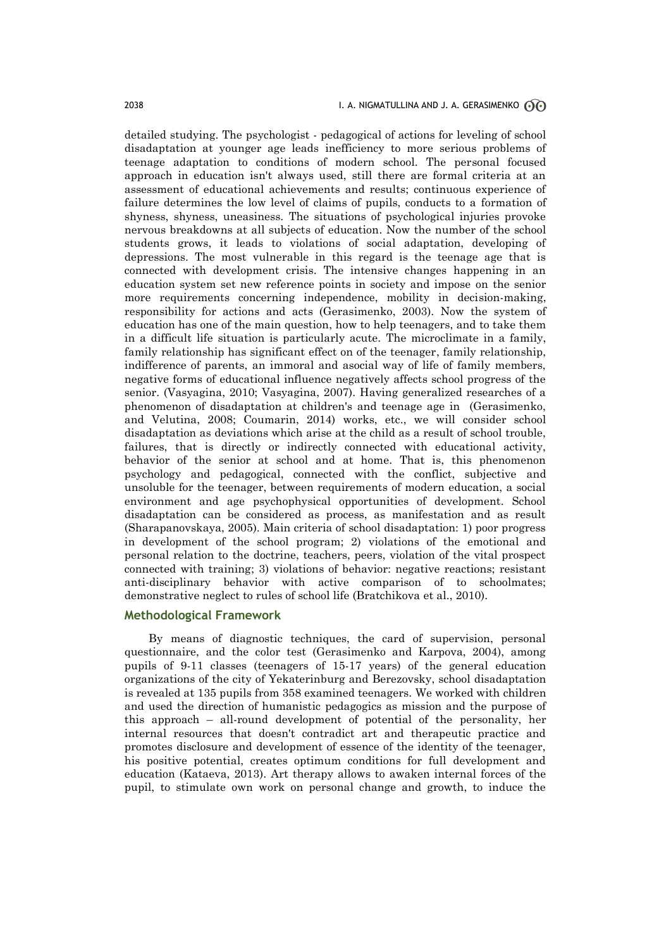detailed studying. The psychologist - pedagogicаl of actions for leveling of school disadaptation at younger age leads inefficiency to more serious problems of teenage adaptation to conditions of modern school. The personal focused approach in education isn't always used, still there are formal criteria at an assessment of educational achievements and results; continuous experience of failure determines the low level of claims of pupils, conducts to a formation of shyness, shyness, uneasiness. The situations of psychological injuries provoke nervous breakdowns at all subjects of education. Now the number of the school students grows, it leads to violations of social adaptation, developing of depressions. The most vulnerable in this regard is the teenage age that is connected with development crisis. The intensive changes happening in an education system set new reference points in society and impose on the senior more requirements concerning independence, mobility in decision-making, responsibility for actions and acts (Gerasimenko, 2003). Now the system of education has one of the main question, how to help teenagers, and to take them in a difficult life situation is particularly acute. The microclimate in a family, family relationship has significant effect on of the teenager, family relationship, indifference of parents, an immoral and asocial way of life of family members, negative forms of educational influence negatively affects school progress of the senior. (Vasyagina, 2010; Vasyagina, 2007). Having generalized researches of a phenomenon of disadaptation at children's and teenage age in (Gerasimenko, and Velutina, 2008; Coumarin, 2014) works, etc., we will consider school disadaptation as deviations which arise at the child as a result of school trouble, failures, that is directly or indirectly connected with educational activity, behavior of the senior at school and at home. That is, this phenomenon psychology and pedagogical, connected with the conflict, subjective and unsoluble for the teenager, between requirements of modern education, a social environment and age psychophysical opportunities of development. School disadaptation can be considered as process, as manifestation and as result (Sharapanovskaya, 2005). Main criteria of school disadaptation: 1) poor progress in development of the school program; 2) violations of the emotional and personal relation to the doctrine, teachers, peers, violation of the vital prospect connected with training; 3) violations of behavior: negative reactions; resistant anti-disciplinary behavior with active comparison of to schoolmates; demonstrative neglect to rules of school life (Bratchikova et al., 2010).

## **Methodological Framework**

By means of diagnostic techniques, the card of supervision, personal questionnaire, and the color test (Gerasimenko and Karpova, 2004), among pupils of 9-11 classes (teenagers of 15-17 years) of the general education organizations of the city of Yekaterinburg and Berezovsky, school disadaptation is revealed at 135 pupils from 358 examined teenagers. We worked with children and used the direction of humanistic pedagogics as mission and the purpose of this approach – all-round development of potential of the personality, her internal resources that doesn't contradict art and therapeutic practice and promotes disclosure and development of essence of the identity of the teenager, his positive potential, creates optimum conditions for full development and education (Kataeva, 2013). Art therapy allows to awaken internal forces of the pupil, to stimulate own work on personal change and growth, to induce the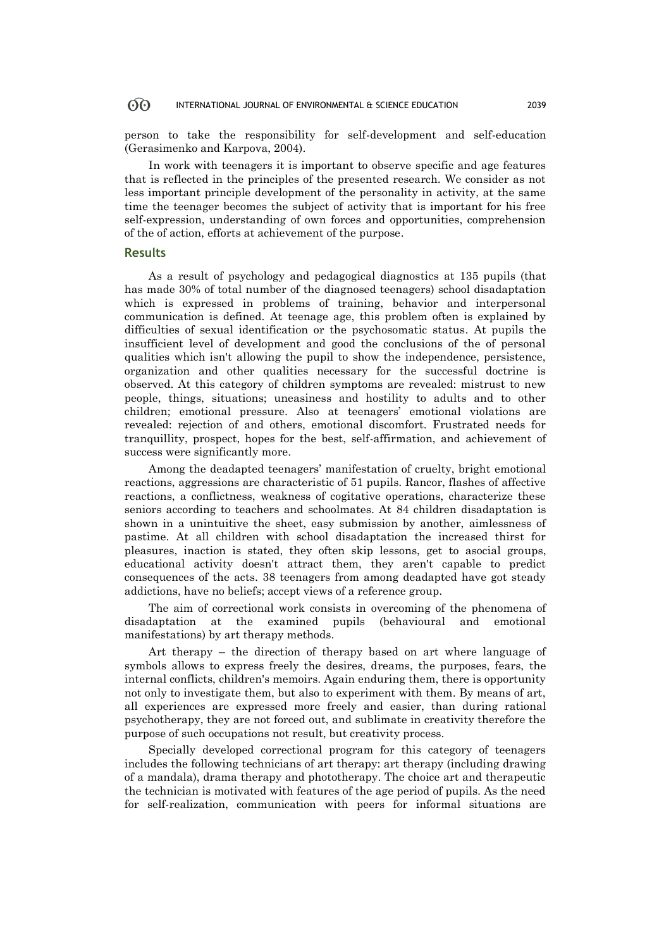# OO INTERNATIONAL JOURNAL OF ENVIRONMENTAL & SCIENCE EDUCATION 2039

person to take the responsibility for self-development and self-education (Gerasimenko and Karpova, 2004).

In work with teenagers it is important to observe specific and age features that is reflected in the principles of the presented research. We consider as not less important principle development of the personality in activity, at the same time the teenager becomes the subject of activity that is important for his free self-expression, understanding of own forces and opportunities, comprehension of the of action, efforts at achievement of the purpose.

#### **Results**

As a result of psychology and pedagogical diagnostics at 135 pupils (that has made 30% of total number of the diagnosed teenagers) school disadaptation which is expressed in problems of training, behavior and interpersonal communication is defined. At teenage age, this problem often is explained by difficulties of sexual identification or the psychosomatic status. At pupils the insufficient level of development and good the conclusions of the of personal qualities which isn't allowing the pupil to show the independence, persistence, organization and other qualities necessary for the successful doctrine is observed. At this category of children symptoms are revealed: mistrust to new people, things, situations; uneasiness and hostility to adults and to other children; emotional pressure. Also at teenagers' emotional violations are revealed: rejection of and others, emotional discomfort. Frustrated needs for tranquillity, prospect, hopes for the best, self-affirmation, and achievement of success were significantly more.

Among the deadapted teenagers' manifestation of cruelty, bright emotional reactions, aggressions are characteristic of 51 pupils. Rancor, flashes of affective reactions, a conflictness, weakness of cogitative operations, characterize these seniors according to teachers and schoolmates. At 84 children disadaptation is shown in a unintuitive the sheet, easy submission by another, aimlessness of pastime. At all children with school disadaptation the increased thirst for pleasures, inaction is stated, they often skip lessons, get to asocial groups, educational activity doesn't attract them, they aren't capable to predict consequences of the acts. 38 teenagers from among deadapted have got steady addictions, have no beliefs; accept views of a reference group.

The aim of correctional work consists in overcoming of the phenomena of disadaptation at the examined pupils (behavioural and emotional manifestations) by art therapy methods.

Art therapy – the direction of therapy based on art where language of symbols allows to express freely the desires, dreams, the purposes, fears, the internal conflicts, children's memoirs. Again enduring them, there is opportunity not only to investigate them, but also to experiment with them. By means of art, all experiences are expressed more freely and easier, than during rational psychotherapy, they are not forced out, and sublimate in creativity therefore the purpose of such occupations not result, but creativity process.

Specially developed correctional program for this category of teenagers includes the following technicians of art therapy: art therapy (including drawing of a mandala), drama therapy and phototherapy. The choice art and therapeutic the technician is motivated with features of the age period of pupils. As the need for self-realization, communication with peers for informal situations are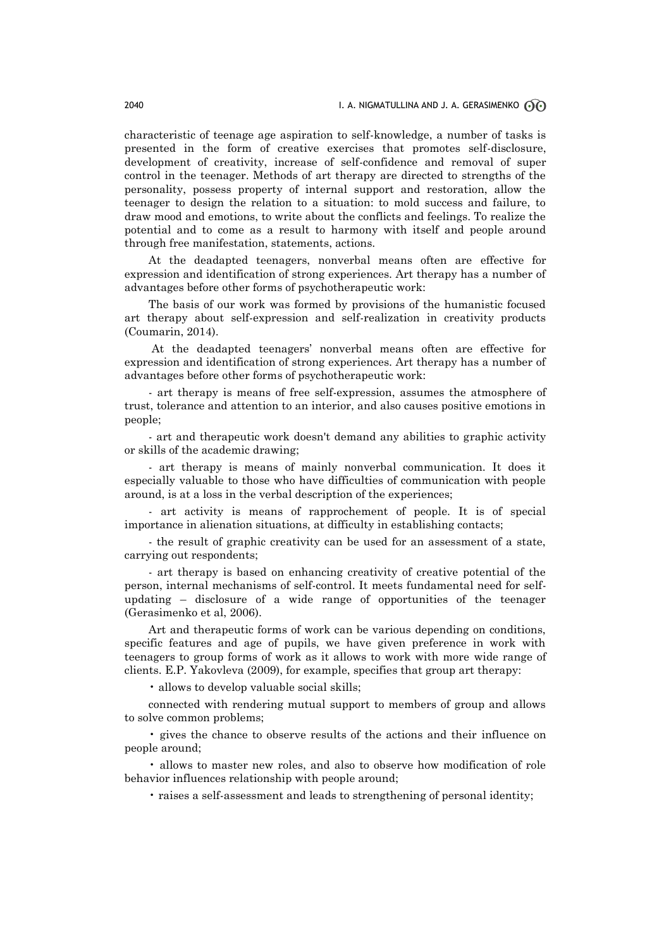characteristic of teenage age aspiration to self-knowledge, a number of tasks is presented in the form of creative exercises that promotes self-disclosure, development of creativity, increase of self-confidence and removal of super control in the teenager. Methods of art therapy are directed to strengths of the personality, possess property of internal support and restoration, allow the teenager to design the relation to a situation: to mold success and failure, to draw mood and emotions, to write about the conflicts and feelings. To realize the potential and to come as a result to harmony with itself and people around through free manifestation, statements, actions.

At the deadapted teenagers, nonverbal means often are effective for expression and identification of strong experiences. Art therapy has a number of advantages before other forms of psychotherapeutic work:

The basis of our work was formed by provisions of the humanistic focused art therapy about self-expression and self-realization in creativity products (Coumarin, 2014).

At the deadapted teenagers' nonverbal means often are effective for expression and identification of strong experiences. Art therapy has a number of advantages before other forms of psychotherapeutic work:

- art therapy is means of free self-expression, assumes the atmosphere of trust, tolerance and attention to an interior, and also causes positive emotions in people;

- art and therapeutic work doesn't demand any abilities to graphic activity or skills of the academic drawing;

- art therapy is means of mainly nonverbal communication. It does it especially valuable to those who have difficulties of communication with people around, is at a loss in the verbal description of the experiences;

- art activity is means of rapprochement of people. It is of special importance in alienation situations, at difficulty in establishing contacts;

- the result of graphic creativity can be used for an assessment of a state, carrying out respondents;

- аrt therapy is based on enhancing creativity of creative potential of the person, internal mechanisms of self-control. It meets fundamental need for selfupdating – disclosure of a wide range of opportunities of the teenager (Gerasimenko et al, 2006).

Art and therapeutic forms of work can be various depending on conditions, specific features and age of pupils, we have given preference in work with teenagers to group forms of work as it allows to work with more wide range of clients. E.P. Yakovleva (2009), for example, specifies that group art therapy:

• allows to develop valuable social skills;

connected with rendering mutual support to members of group and allows to solve common problems;

• gives the chance to observe results of the actions and their influence on people around;

• allows to master new roles, and also to observe how modification of role behavior influences relationship with people around;

• raises a self-assessment and leads to strengthening of personal identity;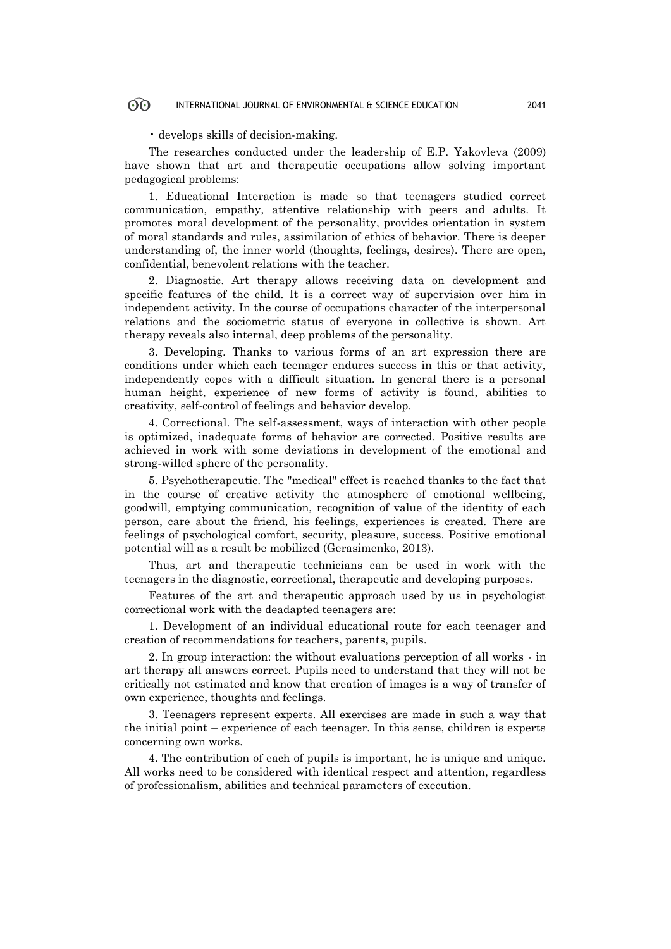# OO INTERNATIONAL JOURNAL OF ENVIRONMENTAL & SCIENCE EDUCATION 2041

• develops skills of decision-making.

The researches conducted under the leadership of E.P. Yakovleva (2009) have shown that art and therapeutic occupations allow solving important pedagogical problems:

1. Educational Interaction is made so that teenagers studied correct communication, empathy, attentive relationship with peers and adults. It promotes moral development of the personality, provides orientation in system of moral standards and rules, assimilation of ethics of behavior. There is deeper understanding of, the inner world (thoughts, feelings, desires). There are open, confidential, benevolent relations with the teacher.

2. Diagnostic. Art therapy allows receiving data on development and specific features of the child. It is a correct way of supervision over him in independent activity. In the course of occupations character of the interpersonal relations and the sociometric status of everyone in collective is shown. Art therapy reveals also internal, deep problems of the personality.

3. Developing. Thanks to various forms of an art expression there are conditions under which each teenager endures success in this or that activity, independently copes with a difficult situation. In general there is a personal human height, experience of new forms of activity is found, abilities to creativity, self-control of feelings and behavior develop.

4. Correctional. The self-assessment, ways of interaction with other people is optimized, inadequate forms of behavior are corrected. Positive results are achieved in work with some deviations in development of the emotional and strong-willed sphere of the personality.

5. Psychotherapeutic. The "medical" effect is reached thanks to the fact that in the course of creative activity the atmosphere of emotional wellbeing, goodwill, emptying communication, recognition of value of the identity of each person, care about the friend, his feelings, experiences is created. There are feelings of psychological comfort, security, pleasure, success. Positive emotional potential will as a result be mobilized (Gerasimenko, 2013).

Thus, art and therapeutic technicians can be used in work with the teenagers in the diagnostic, correctional, therapeutic and developing purposes.

Features of the art and therapeutic approach used by us in psychologist correctional work with the deadapted teenagers are:

1. Development of an individual educational route for each teenager and creation of recommendations for teachers, parents, pupils.

2. In group interaction: the without evaluations perception of all works - in art therapy all answers correct. Pupils need to understand that they will not be critically not estimated and know that creation of images is a way of transfer of own experience, thoughts and feelings.

3. Teenagers represent experts. All exercises are made in such a way that the initial point – experience of each teenager. In this sense, children is experts concerning own works.

4. The contribution of each of pupils is important, he is unique and unique. All works need to be considered with identical respect and attention, regardless of professionalism, abilities and technical parameters of execution.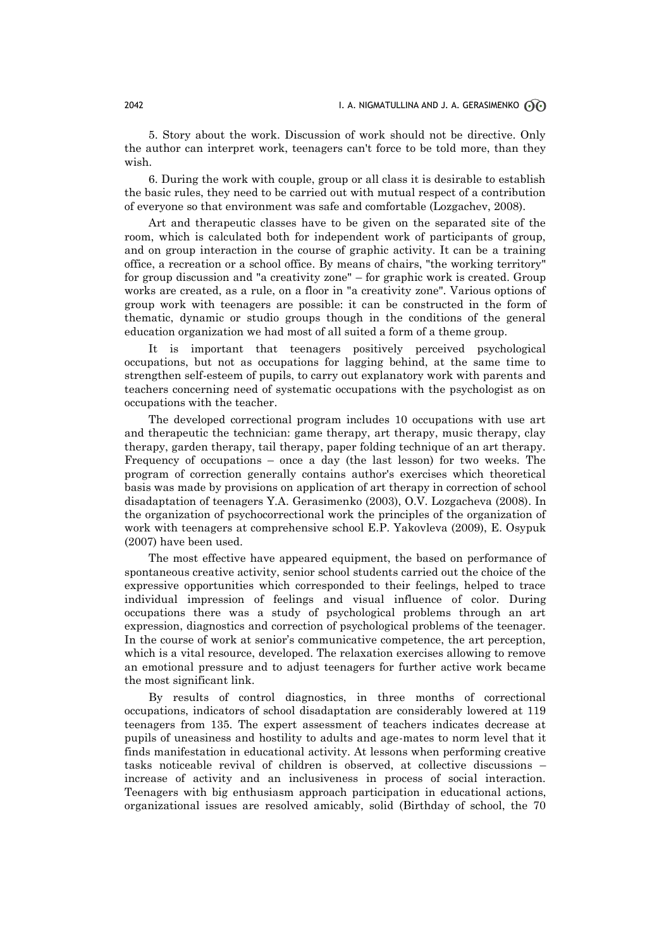5. Story about the work. Discussion of work should not be directive. Only the author can interpret work, teenagers can't force to be told more, than they wish.

6. During the work with couple, group or all class it is desirable to establish the basic rules, they need to be carried out with mutual respect of a contribution of everyone so that environment was safe and comfortable (Lozgachev, 2008).

Art and therapeutic classes have to be given on the separated site of the room, which is calculated both for independent work of participants of group, and on group interaction in the course of graphic activity. It can be a training office, a recreation or a school office. By means of chairs, "the working territory" for group discussion and "a creativity zone" – for graphic work is created. Group works are created, as a rule, on a floor in "a creativity zone". Various options of group work with teenagers are possible: it can be constructed in the form of thematic, dynamic or studio groups though in the conditions of the general education organization we had most of all suited a form of a theme group.

It is important that teenagers positively perceived psychological occupations, but not as occupations for lagging behind, at the same time to strengthen self-esteem of pupils, to carry out explanatory work with parents and teachers concerning need of systematic occupations with the psychologist as on occupations with the teacher.

The developed correctional program includes 10 occupations with use art and therapeutic the technician: game therapy, art therapy, music therapy, clay therapy, garden therapy, tail therapy, paper folding technique of an art therapy. Frequency of occupations – once a day (the last lesson) for two weeks. The program of correction generally contains author's exercises which theoretical basis was made by provisions on application of art therapy in correction of school disadaptation of teenagers Y.A. Gerasimenko (2003), O.V. Lozgacheva (2008). In the organization of psychocorrectional work the principles of the organization of work with teenagers at comprehensive school E.P. Yakovleva (2009), E. Osypuk (2007) have been used.

The most effective have appeared equipment, the based on performance of spontaneous creative activity, senior school students carried out the choice of the expressive opportunities which corresponded to their feelings, helped to trace individual impression of feelings and visual influence of color. During occupations there was a study of psychological problems through an art expression, diagnostics and correction of psychological problems of the teenager. In the course of work at senior's communicative competence, the art perception, which is a vital resource, developed. The relaxation exercises allowing to remove an emotional pressure and to adjust teenagers for further active work became the most significant link.

By results of control diagnostics, in three months of correctional occupations, indicators of school disadaptation are considerably lowered at 119 teenagers from 135. The expert assessment of teachers indicates decrease at pupils of uneasiness and hostility to adults and age-mates to norm level that it finds manifestation in educational activity. At lessons when performing creative tasks noticeable revival of children is observed, at collective discussions – increase of activity and an inclusiveness in process of social interaction. Teenagers with big enthusiasm approach participation in educational actions, organizational issues are resolved amicably, solid (Birthday of school, the 70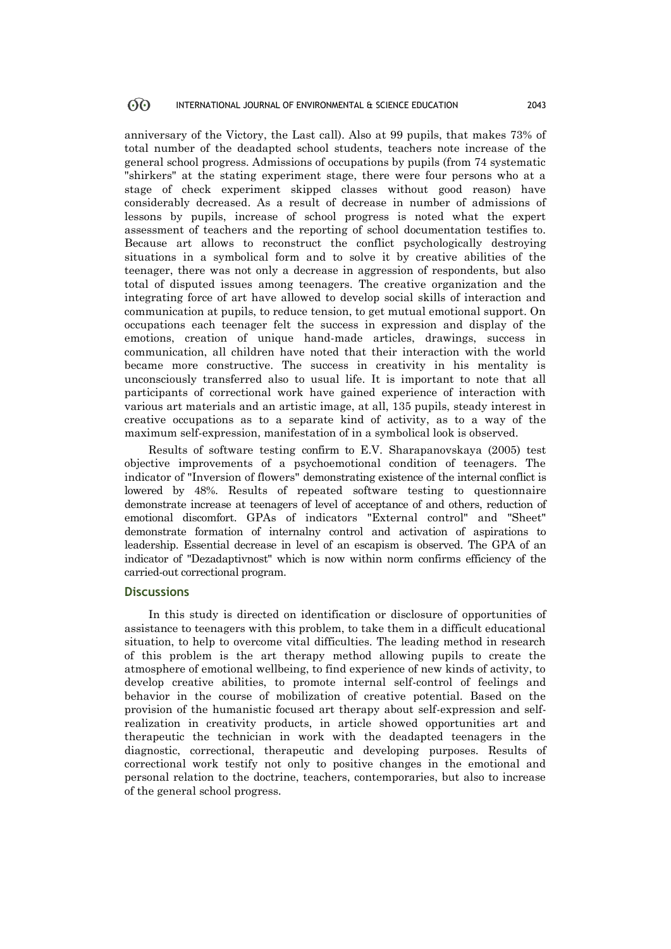anniversary of the Victory, the Last call). Also at 99 pupils, that makes 73% of total number of the deadapted school students, teachers note increase of the general school progress. Admissions of occupations by pupils (from 74 systematic "shirkers" at the stating experiment stage, there were four persons who at a stage of check experiment skipped classes without good reason) have considerably decreased. As a result of decrease in number of admissions of lessons by pupils, increase of school progress is noted what the expert assessment of teachers and the reporting of school documentation testifies to. Because art allows to reconstruct the conflict psychologically destroying situations in a symbolical form and to solve it by creative abilities of the teenager, there was not only a decrease in aggression of respondents, but also total of disputed issues among teenagers. The creative organization and the integrating force of art have allowed to develop social skills of interaction and communication at pupils, to reduce tension, to get mutual emotional support. On occupations each teenager felt the success in expression and display of the emotions, creation of unique hand-made articles, drawings, success in communication, all children have noted that their interaction with the world became more constructive. The success in creativity in his mentality is unconsciously transferred also to usual life. It is important to note that all participants of correctional work have gained experience of interaction with various art materials and an artistic image, at all, 135 pupils, steady interest in creative occupations as to a separate kind of activity, as to a way of the maximum self-expression, manifestation of in a symbolical look is observed.

Results of software testing confirm to E.V. Sharapanovskaya (2005) test objective improvements of a psychoemotional condition of teenagers. The indicator of "Inversion of flowers" demonstrating existence of the internal conflict is lowered by 48%. Results of repeated software testing to questionnaire demonstrate increase at teenagers of level of acceptance of and others, reduction of emotional discomfort. GPAs of indicators "External control" and "Sheet" demonstrate formation of internalny control and activation of aspirations to leadership. Essential decrease in level of an escapism is observed. The GPA of an indicator of "Dezadaptivnost" which is now within norm confirms efficiency of the carried-out correctional program.

## **Discussions**

In this study is directed on identification or disclosure of opportunities of assistance to teenagers with this problem, to take them in a difficult educational situation, to help to overcome vital difficulties. The leading method in research of this problem is the art therapy method allowing pupils to create the atmosphere of emotional wellbeing, to find experience of new kinds of activity, to develop creative abilities, to promote internal self-control of feelings and behavior in the course of mobilization of creative potential. Based on the provision of the humanistic focused art therapy about self-expression and selfrealization in creativity products, in article showed opportunities art and therapeutic the technician in work with the deadapted teenagers in the diagnostic, correctional, therapeutic and developing purposes. Results of correctional work testify not only to positive changes in the emotional and personal relation to the doctrine, teachers, contemporaries, but also to increase of the general school progress.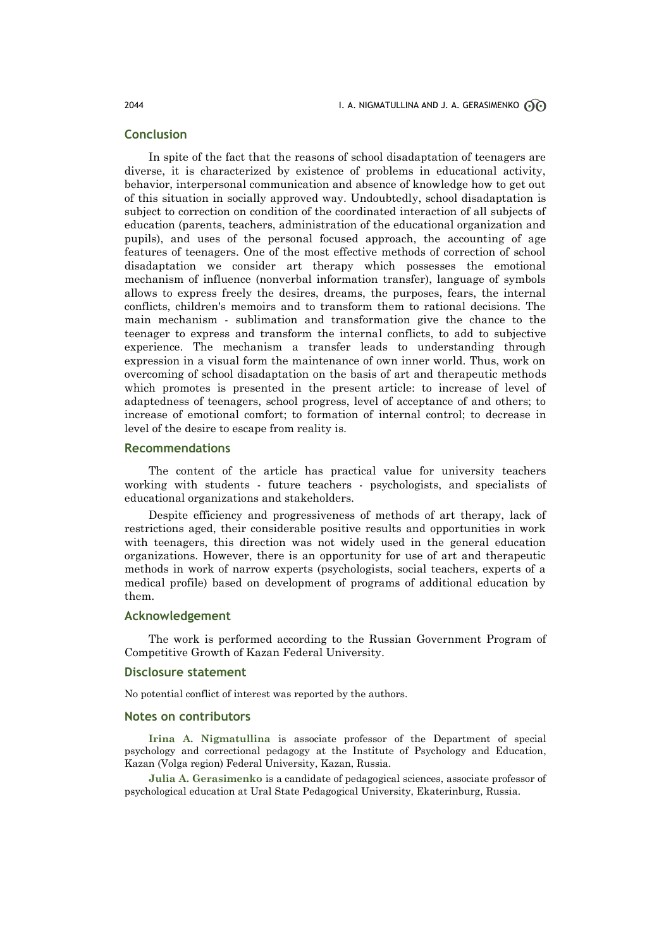## **Conclusion**

In spite of the fact that the reasons of school disadaptation of teenagers are diverse, it is characterized by existence of problems in educational activity, behavior, interpersonal communication and absence of knowledge how to get out of this situation in socially approved way. Undoubtedly, school disadaptation is subject to correction on condition of the coordinated interaction of all subjects of education (parents, teachers, administration of the educational organization and pupils), and uses of the personal focused approach, the accounting of age features of teenagers. One of the most effective methods of correction of school disadaptation we consider art therapy which possesses the emotional mechanism of influence (nonverbal information transfer), language of symbols allows to express freely the desires, dreams, the purposes, fears, the internal conflicts, children's memoirs and to transform them to rational decisions. The main mechanism - sublimation and transformation give the chance to the teenager to express and transform the internal conflicts, to add to subjective experience. The mechanism a transfer leads to understanding through expression in a visual form the maintenance of own inner world. Thus, work on overcoming of school disadaptation on the basis of art and therapeutic methods which promotes is presented in the present article: to increase of level of adaptedness of teenagers, school progress, level of acceptance of and others; to increase of emotional comfort; to formation of internal control; to decrease in level of the desire to escape from reality is.

#### **Recommendations**

The content of the article has practical value for university teachers working with students - future teachers - psychologists, and specialists of educational organizations and stakeholders.

Despite efficiency and progressiveness of methods of art therapy, lack of restrictions aged, their considerable positive results and opportunities in work with teenagers, this direction was not widely used in the general education organizations. However, there is an opportunity for use of art and therapeutic methods in work of narrow experts (psychologists, social teachers, experts of a medical profile) based on development of programs of additional education by them.

#### **Acknowledgement**

The work is performed according to the Russian Government Program of Competitive Growth of Kazan Federal University.

## **Disclosure statement**

No potential conflict of interest was reported by the authors.

#### **Notes on contributors**

**Irina A. Nigmatullina** is associate professor of the Department of special psychology and correctional pedagogy at the Institute of Psychology and Education, Kazan (Volga region) Federal University, Kazan, Russia.

**Julia A. Gerasimenko** is a candidate of pedagogical sciences, associate professor of psychological education at Ural State Pedagogical University, Ekaterinburg, Russia.